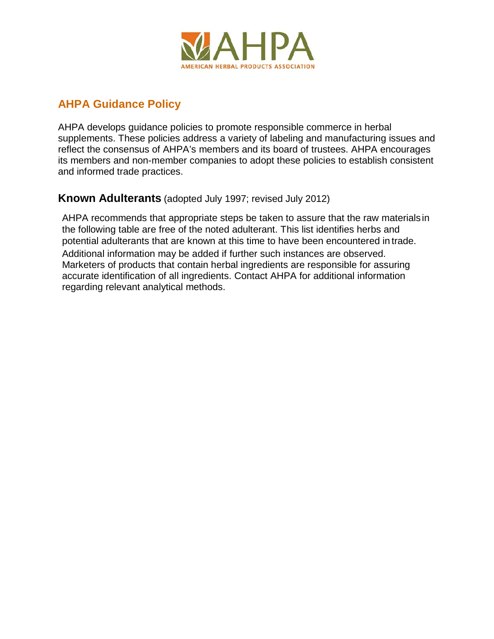

## **AHPA Guidance Policy**

AHPA develops guidance policies to promote responsible commerce in herbal supplements. These policies address a variety of labeling and manufacturing issues and reflect the consensus of AHPA's members and its board of trustees. AHPA encourages its members and non-member companies to adopt these policies to establish consistent and informed trade practices.

## **Known Adulterants** (adopted July 1997; revised July 2012)

AHPA recommends that appropriate steps be taken to assure that the raw materials in the following table are free of the noted adulterant. This list identifies herbs and potential adulterants that are known at this time to have been encountered in trade. Additional information may be added if further such instances are observed. Marketers of products that contain herbal ingredients are responsible for assuring accurate identification of all ingredients. Contact AHPA for additional information regarding relevant analytical methods.